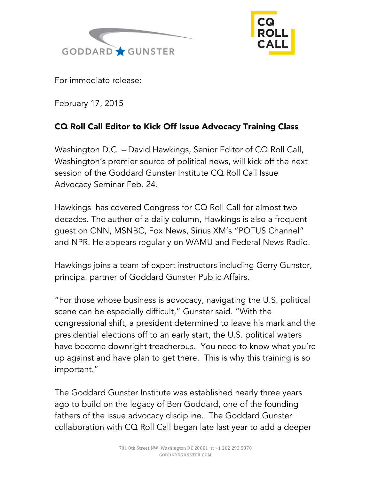



For immediate release:

February 17, 2015

## CQ Roll Call Editor to Kick Off Issue Advocacy Training Class

Washington D.C. – David Hawkings, Senior Editor of CQ Roll Call, Washington's premier source of political news, will kick off the next session of the Goddard Gunster Institute CQ Roll Call Issue Advocacy Seminar Feb. 24.

Hawkings has covered Congress for CQ Roll Call for almost two decades. The author of a daily column, Hawkings is also a frequent guest on CNN, MSNBC, Fox News, Sirius XM's "POTUS Channel" and NPR. He appears regularly on WAMU and Federal News Radio.

Hawkings joins a team of expert instructors including Gerry Gunster, principal partner of Goddard Gunster Public Affairs.

"For those whose business is advocacy, navigating the U.S. political scene can be especially difficult," Gunster said. "With the congressional shift, a president determined to leave his mark and the presidential elections off to an early start, the U.S. political waters have become downright treacherous. You need to know what you're up against and have plan to get there. This is why this training is so important."

The Goddard Gunster Institute was established nearly three years ago to build on the legacy of Ben Goddard, one of the founding fathers of the issue advocacy discipline. The Goddard Gunster collaboration with CQ Roll Call began late last year to add a deeper